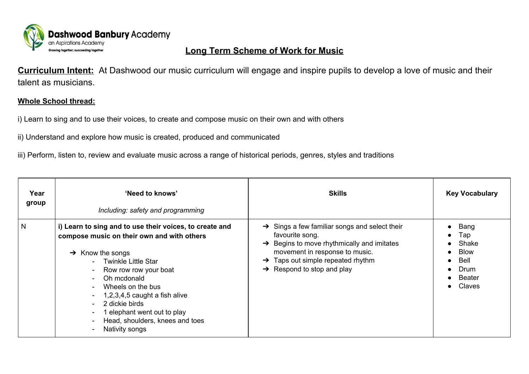

## **Long Term Scheme of Work for Music**

**Curriculum Intent:** At Dashwood our music curriculum will engage and inspire pupils to develop a love of music and their talent as musicians.

## **Whole School thread:**

i) Learn to sing and to use their voices, to create and compose music on their own and with others

ii) Understand and explore how music is created, produced and communicated

iii) Perform, listen to, review and evaluate music across a range of historical periods, genres, styles and traditions

| Year<br>group | 'Need to knows'<br>Including: safety and programming                                                                                                                                                                                                                                                                                                                                                                                                  | <b>Skills</b>                                                                                                                                                                                                                                                          | <b>Key Vocabulary</b>                                                                       |
|---------------|-------------------------------------------------------------------------------------------------------------------------------------------------------------------------------------------------------------------------------------------------------------------------------------------------------------------------------------------------------------------------------------------------------------------------------------------------------|------------------------------------------------------------------------------------------------------------------------------------------------------------------------------------------------------------------------------------------------------------------------|---------------------------------------------------------------------------------------------|
| N             | i) Learn to sing and to use their voices, to create and<br>compose music on their own and with others<br>$\rightarrow$ Know the songs<br>- Twinkle Little Star<br>Row row row your boat<br>$\sim$ 100 $\mu$<br>Oh mcdonald<br>$\sim$ 10 $\pm$<br>Wheels on the bus<br>$\sim$ 10 $\pm$<br>$-1,2,3,4,5$ caught a fish alive<br>2 dickie birds<br>$\mathbf{r}$<br>1 elephant went out to play<br>۰.<br>Head, shoulders, knees and toes<br>Nativity songs | $\rightarrow$ Sings a few familiar songs and select their<br>favourite song.<br>$\rightarrow$ Begins to move rhythmically and imitates<br>movement in response to music.<br>Taps out simple repeated rhythm<br>$\rightarrow$<br>$\rightarrow$ Respond to stop and play | Bang<br>Тар<br>Shake<br><b>Blow</b><br>$\bullet$<br>Bell<br>Drum<br><b>Beater</b><br>Claves |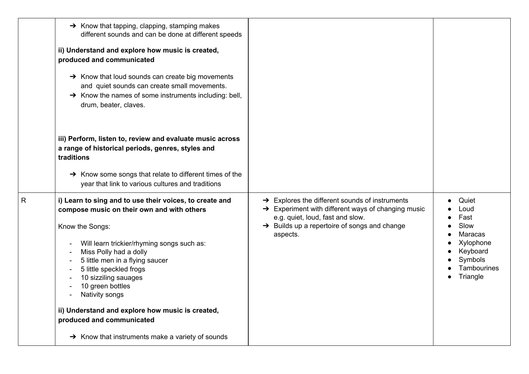|   | $\rightarrow$ Know that tapping, clapping, stamping makes<br>different sounds and can be done at different speeds<br>ii) Understand and explore how music is created,<br>produced and communicated<br>$\rightarrow$ Know that loud sounds can create big movements<br>and quiet sounds can create small movements.<br>$\rightarrow$ Know the names of some instruments including: bell,<br>drum, beater, claves.                                                                                                            |                                                                                                                                                                                                                                          |                                                                                                         |
|---|-----------------------------------------------------------------------------------------------------------------------------------------------------------------------------------------------------------------------------------------------------------------------------------------------------------------------------------------------------------------------------------------------------------------------------------------------------------------------------------------------------------------------------|------------------------------------------------------------------------------------------------------------------------------------------------------------------------------------------------------------------------------------------|---------------------------------------------------------------------------------------------------------|
|   | iii) Perform, listen to, review and evaluate music across<br>a range of historical periods, genres, styles and<br>traditions<br>$\rightarrow$ Know some songs that relate to different times of the<br>year that link to various cultures and traditions                                                                                                                                                                                                                                                                    |                                                                                                                                                                                                                                          |                                                                                                         |
| R | i) Learn to sing and to use their voices, to create and<br>compose music on their own and with others<br>Know the Songs:<br>Will learn trickier/rhyming songs such as:<br>Miss Polly had a dolly<br>$\overline{\phantom{a}}$<br>5 little men in a flying saucer<br>5 little speckled frogs<br>$\blacksquare$<br>10 sizziling sauages<br>10 green bottles<br>Nativity songs<br>ii) Understand and explore how music is created,<br>produced and communicated<br>$\rightarrow$ Know that instruments make a variety of sounds | $\rightarrow$ Explores the different sounds of instruments<br>$\rightarrow$ Experiment with different ways of changing music<br>e.g. quiet, loud, fast and slow.<br>$\rightarrow$ Builds up a repertoire of songs and change<br>aspects. | Quiet<br>Loud<br>Fast<br>Slow<br>Maracas<br>Xylophone<br>Keyboard<br>Symbols<br>Tambourines<br>Triangle |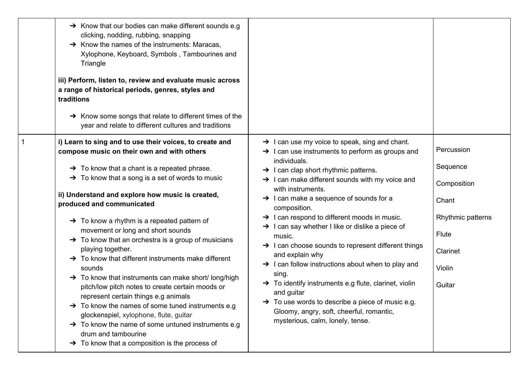| $\rightarrow$ Know that our bodies can make different sounds e.g<br>clicking, nodding, rubbing, snapping<br>$\rightarrow$ Know the names of the instruments: Maracas,<br>Xylophone, Keyboard, Symbols, Tambourines and<br>Triangle<br>iii) Perform, listen to, review and evaluate music across<br>a range of historical periods, genres, styles and<br>traditions<br>→ Know some songs that relate to different times of the<br>year and relate to different cultures and traditions                                                                                                                                                                                                                                                                                                                                                                                                                                                                                                                                    |                                                                                                                                                                                                                                                                                                                                                                                                                                                                                                                                                                                                                                                                                                                                                                                                                                                                                             |                                                                                                              |
|--------------------------------------------------------------------------------------------------------------------------------------------------------------------------------------------------------------------------------------------------------------------------------------------------------------------------------------------------------------------------------------------------------------------------------------------------------------------------------------------------------------------------------------------------------------------------------------------------------------------------------------------------------------------------------------------------------------------------------------------------------------------------------------------------------------------------------------------------------------------------------------------------------------------------------------------------------------------------------------------------------------------------|---------------------------------------------------------------------------------------------------------------------------------------------------------------------------------------------------------------------------------------------------------------------------------------------------------------------------------------------------------------------------------------------------------------------------------------------------------------------------------------------------------------------------------------------------------------------------------------------------------------------------------------------------------------------------------------------------------------------------------------------------------------------------------------------------------------------------------------------------------------------------------------------|--------------------------------------------------------------------------------------------------------------|
| i) Learn to sing and to use their voices, to create and<br>compose music on their own and with others<br>$\rightarrow$ To know that a chant is a repeated phrase.<br>$\rightarrow$ To know that a song is a set of words to music<br>ii) Understand and explore how music is created,<br>produced and communicated<br>$\rightarrow$ To know a rhythm is a repeated pattern of<br>movement or long and short sounds<br>$\rightarrow$ To know that an orchestra is a group of musicians<br>playing together.<br>$\rightarrow$ To know that different instruments make different<br>sounds<br>$\rightarrow$ To know that instruments can make short/long/high<br>pitch/low pitch notes to create certain moods or<br>represent certain things e.g animals<br>$\rightarrow$ To know the names of some tuned instruments e.g<br>glockenspiel, xylophone, flute, guitar<br>$\rightarrow$ To know the name of some untuned instruments e.g<br>drum and tambourine<br>$\rightarrow$ To know that a composition is the process of | $\rightarrow$ I can use my voice to speak, sing and chant.<br>$\rightarrow$ 1 can use instruments to perform as groups and<br>individuals.<br>$\rightarrow$ I can clap short rhythmic patterns.<br>$\rightarrow$ I can make different sounds with my voice and<br>with instruments.<br>$\rightarrow$ 1 can make a sequence of sounds for a<br>composition.<br>$\rightarrow$ I can respond to different moods in music.<br>$\rightarrow$ I can say whether I like or dislike a piece of<br>music.<br>$\rightarrow$ I can choose sounds to represent different things<br>and explain why<br>$\rightarrow$ I can follow instructions about when to play and<br>sing.<br>$\rightarrow$ To identify instruments e.g flute, clarinet, violin<br>and guitar<br>To use words to describe a piece of music e.g.<br>→<br>Gloomy, angry, soft, cheerful, romantic,<br>mysterious, calm, lonely, tense. | Percussion<br>Sequence<br>Composition<br>Chant<br>Rhythmic patterns<br>Flute<br>Clarinet<br>Violin<br>Guitar |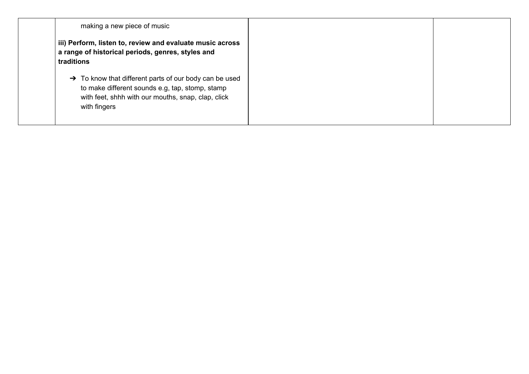|              | making a new piece of music                                                                                                                                                 |
|--------------|-----------------------------------------------------------------------------------------------------------------------------------------------------------------------------|
| traditions   | iii) Perform, listen to, review and evaluate music across<br>a range of historical periods, genres, styles and                                                              |
| with fingers | $\rightarrow$ To know that different parts of our body can be used<br>to make different sounds e.g, tap, stomp, stamp<br>with feet, shhh with our mouths, snap, clap, click |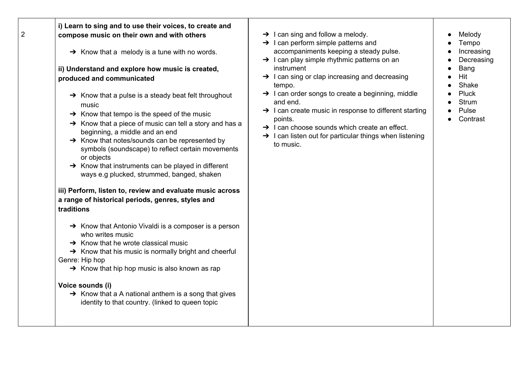|  | i) Learn to sing and to use their voices, to create and<br>2 | compose music on their own and with others<br>$\rightarrow$ Know that a melody is a tune with no words.<br>ii) Understand and explore how music is created,<br>produced and communicated<br>$\rightarrow$ Know that a pulse is a steady beat felt throughout<br>music<br>$\rightarrow$ Know that tempo is the speed of the music<br>$\rightarrow$ Know that a piece of music can tell a story and has a<br>beginning, a middle and an end<br>$\rightarrow$ Know that notes/sounds can be represented by<br>symbols (soundscape) to reflect certain movements<br>or objects<br>$\rightarrow$ Know that instruments can be played in different<br>ways e.g plucked, strummed, banged, shaken<br>iii) Perform, listen to, review and evaluate music across<br>a range of historical periods, genres, styles and<br>traditions<br>$\rightarrow$ Know that Antonio Vivaldi is a composer is a person<br>who writes music<br>$\rightarrow$ Know that he wrote classical music<br>$\rightarrow$ Know that his music is normally bright and cheerful<br>Genre: Hip hop<br>$\rightarrow$ Know that hip hop music is also known as rap<br>Voice sounds (i)<br>$\rightarrow$ Know that a A national anthem is a song that gives<br>identity to that country. (linked to queen topic | $\rightarrow$ I can sing and follow a melody.<br>$\rightarrow$ 1 can perform simple patterns and<br>accompaniments keeping a steady pulse.<br>$\rightarrow$ I can play simple rhythmic patterns on an<br>instrument<br>$\rightarrow$ I can sing or clap increasing and decreasing<br>tempo.<br>$\rightarrow$ I can order songs to create a beginning, middle<br>and end.<br>$\rightarrow$ I can create music in response to different starting<br>points.<br>$\rightarrow$ I can choose sounds which create an effect.<br>$\rightarrow$ I can listen out for particular things when listening<br>to music. | Melody<br>Tempo<br>Increasing<br>Decreasing<br>Bang<br>Hit<br>Shake<br>Pluck<br><b>Strum</b><br>Pulse<br>Contrast |
|--|--------------------------------------------------------------|--------------------------------------------------------------------------------------------------------------------------------------------------------------------------------------------------------------------------------------------------------------------------------------------------------------------------------------------------------------------------------------------------------------------------------------------------------------------------------------------------------------------------------------------------------------------------------------------------------------------------------------------------------------------------------------------------------------------------------------------------------------------------------------------------------------------------------------------------------------------------------------------------------------------------------------------------------------------------------------------------------------------------------------------------------------------------------------------------------------------------------------------------------------------------------------------------------------------------------------------------------------------------|------------------------------------------------------------------------------------------------------------------------------------------------------------------------------------------------------------------------------------------------------------------------------------------------------------------------------------------------------------------------------------------------------------------------------------------------------------------------------------------------------------------------------------------------------------------------------------------------------------|-------------------------------------------------------------------------------------------------------------------|
|--|--------------------------------------------------------------|--------------------------------------------------------------------------------------------------------------------------------------------------------------------------------------------------------------------------------------------------------------------------------------------------------------------------------------------------------------------------------------------------------------------------------------------------------------------------------------------------------------------------------------------------------------------------------------------------------------------------------------------------------------------------------------------------------------------------------------------------------------------------------------------------------------------------------------------------------------------------------------------------------------------------------------------------------------------------------------------------------------------------------------------------------------------------------------------------------------------------------------------------------------------------------------------------------------------------------------------------------------------------|------------------------------------------------------------------------------------------------------------------------------------------------------------------------------------------------------------------------------------------------------------------------------------------------------------------------------------------------------------------------------------------------------------------------------------------------------------------------------------------------------------------------------------------------------------------------------------------------------------|-------------------------------------------------------------------------------------------------------------------|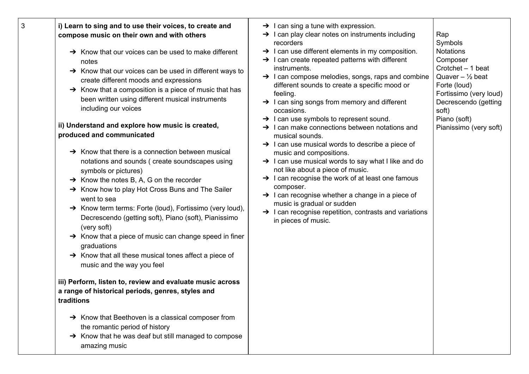| 3 | i) Learn to sing and to use their voices, to create and<br>compose music on their own and with others<br>$\rightarrow$ Know that our voices can be used to make different<br>notes<br>$\rightarrow$ Know that our voices can be used in different ways to<br>create different moods and expressions<br>$\rightarrow$ Know that a composition is a piece of music that has<br>been written using different musical instruments<br>including our voices<br>ii) Understand and explore how music is created,<br>produced and communicated<br>$\rightarrow$ Know that there is a connection between musical<br>notations and sounds (create soundscapes using<br>symbols or pictures)<br>$\rightarrow$ Know the notes B, A, G on the recorder<br>→ Know how to play Hot Cross Buns and The Sailer<br>went to sea<br>A Know term terms: Forte (loud), Fortissimo (very loud),<br>Decrescendo (getting soft), Piano (soft), Pianissimo<br>(very soft)<br>$\rightarrow$ Know that a piece of music can change speed in finer<br>graduations<br>$\rightarrow$ Know that all these musical tones affect a piece of<br>music and the way you feel<br>iii) Perform, listen to, review and evaluate music across<br>a range of historical periods, genres, styles and<br>traditions<br>$\rightarrow$ Know that Beethoven is a classical composer from<br>the romantic period of history<br>$\rightarrow$ Know that he was deaf but still managed to compose<br>amazing music | $\rightarrow$ I can sing a tune with expression.<br>$\rightarrow$ I can play clear notes on instruments including<br>recorders<br>$\rightarrow$ I can use different elements in my composition.<br>$\rightarrow$ I can create repeated patterns with different<br>instruments.<br>$\rightarrow$ I can compose melodies, songs, raps and combine<br>different sounds to create a specific mood or<br>feeling.<br>$\rightarrow$ I can sing songs from memory and different<br>occasions.<br>$\rightarrow$ 1 can use symbols to represent sound.<br>$\rightarrow$ I can make connections between notations and<br>musical sounds.<br>$\rightarrow$ I can use musical words to describe a piece of<br>music and compositions.<br>$\rightarrow$ I can use musical words to say what I like and do<br>not like about a piece of music.<br>$\rightarrow$ I can recognise the work of at least one famous<br>composer.<br>$\rightarrow$ I can recognise whether a change in a piece of<br>music is gradual or sudden<br>$\rightarrow$ I can recognise repetition, contrasts and variations<br>in pieces of music. | Rap<br>Symbols<br><b>Notations</b><br>Composer<br>Crotchet - 1 beat<br>Quaver $-$ 1/2 beat<br>Forte (loud)<br>Fortissimo (very loud)<br>Decrescendo (getting<br>soft)<br>Piano (soft)<br>Pianissimo (very soft) |
|---|------------------------------------------------------------------------------------------------------------------------------------------------------------------------------------------------------------------------------------------------------------------------------------------------------------------------------------------------------------------------------------------------------------------------------------------------------------------------------------------------------------------------------------------------------------------------------------------------------------------------------------------------------------------------------------------------------------------------------------------------------------------------------------------------------------------------------------------------------------------------------------------------------------------------------------------------------------------------------------------------------------------------------------------------------------------------------------------------------------------------------------------------------------------------------------------------------------------------------------------------------------------------------------------------------------------------------------------------------------------------------------------------------------------------------------------------------------------|-----------------------------------------------------------------------------------------------------------------------------------------------------------------------------------------------------------------------------------------------------------------------------------------------------------------------------------------------------------------------------------------------------------------------------------------------------------------------------------------------------------------------------------------------------------------------------------------------------------------------------------------------------------------------------------------------------------------------------------------------------------------------------------------------------------------------------------------------------------------------------------------------------------------------------------------------------------------------------------------------------------------------------------------------------------------------------------------------------------|-----------------------------------------------------------------------------------------------------------------------------------------------------------------------------------------------------------------|
|---|------------------------------------------------------------------------------------------------------------------------------------------------------------------------------------------------------------------------------------------------------------------------------------------------------------------------------------------------------------------------------------------------------------------------------------------------------------------------------------------------------------------------------------------------------------------------------------------------------------------------------------------------------------------------------------------------------------------------------------------------------------------------------------------------------------------------------------------------------------------------------------------------------------------------------------------------------------------------------------------------------------------------------------------------------------------------------------------------------------------------------------------------------------------------------------------------------------------------------------------------------------------------------------------------------------------------------------------------------------------------------------------------------------------------------------------------------------------|-----------------------------------------------------------------------------------------------------------------------------------------------------------------------------------------------------------------------------------------------------------------------------------------------------------------------------------------------------------------------------------------------------------------------------------------------------------------------------------------------------------------------------------------------------------------------------------------------------------------------------------------------------------------------------------------------------------------------------------------------------------------------------------------------------------------------------------------------------------------------------------------------------------------------------------------------------------------------------------------------------------------------------------------------------------------------------------------------------------|-----------------------------------------------------------------------------------------------------------------------------------------------------------------------------------------------------------------|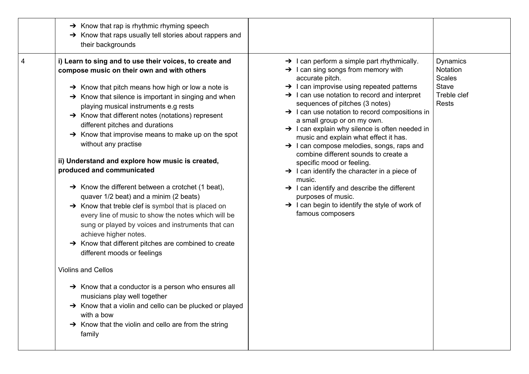|   | $\rightarrow$ Know that rap is rhythmic rhyming speech<br>$\rightarrow$ Know that raps usually tell stories about rappers and<br>their backgrounds                                                                                                                                                                                                                                                                                                                                                                                                                                                                                                                                                                                                                                                                                                                                                                                                                                                                                                                                                                                                                                                                                                                                          |                                                                                                                                                                                                                                                                                                                                                                                                                                                                                                                                                                                                                                                                                                                                                                                                                                                                 |                                                                                             |
|---|---------------------------------------------------------------------------------------------------------------------------------------------------------------------------------------------------------------------------------------------------------------------------------------------------------------------------------------------------------------------------------------------------------------------------------------------------------------------------------------------------------------------------------------------------------------------------------------------------------------------------------------------------------------------------------------------------------------------------------------------------------------------------------------------------------------------------------------------------------------------------------------------------------------------------------------------------------------------------------------------------------------------------------------------------------------------------------------------------------------------------------------------------------------------------------------------------------------------------------------------------------------------------------------------|-----------------------------------------------------------------------------------------------------------------------------------------------------------------------------------------------------------------------------------------------------------------------------------------------------------------------------------------------------------------------------------------------------------------------------------------------------------------------------------------------------------------------------------------------------------------------------------------------------------------------------------------------------------------------------------------------------------------------------------------------------------------------------------------------------------------------------------------------------------------|---------------------------------------------------------------------------------------------|
| 4 | i) Learn to sing and to use their voices, to create and<br>compose music on their own and with others<br>$\rightarrow$ Know that pitch means how high or low a note is<br>$\rightarrow$ Know that silence is important in singing and when<br>playing musical instruments e.g rests<br>$\rightarrow$ Know that different notes (notations) represent<br>different pitches and durations<br>$\rightarrow$ Know that improvise means to make up on the spot<br>without any practise<br>ii) Understand and explore how music is created,<br>produced and communicated<br>$\rightarrow$ Know the different between a crotchet (1 beat),<br>quaver 1/2 beat) and a minim (2 beats)<br>$\rightarrow$ Know that treble clef is symbol that is placed on<br>every line of music to show the notes which will be<br>sung or played by voices and instruments that can<br>achieve higher notes.<br>$\rightarrow$ Know that different pitches are combined to create<br>different moods or feelings<br><b>Violins and Cellos</b><br>$\rightarrow$ Know that a conductor is a person who ensures all<br>musicians play well together<br>$\rightarrow$ Know that a violin and cello can be plucked or played<br>with a bow<br>$\rightarrow$ Know that the violin and cello are from the string<br>family | $\rightarrow$ 1 can perform a simple part rhythmically.<br>$\rightarrow$ I can sing songs from memory with<br>accurate pitch.<br>$\rightarrow$ I can improvise using repeated patterns<br>$\rightarrow$ I can use notation to record and interpret<br>sequences of pitches (3 notes)<br>$\rightarrow$ I can use notation to record compositions in<br>a small group or on my own.<br>$\rightarrow$ I can explain why silence is often needed in<br>music and explain what effect it has.<br>$\rightarrow$ 1 can compose melodies, songs, raps and<br>combine different sounds to create a<br>specific mood or feeling.<br>$\rightarrow$ I can identify the character in a piece of<br>music.<br>$\rightarrow$ I can identify and describe the different<br>purposes of music.<br>$\rightarrow$ I can begin to identify the style of work of<br>famous composers | <b>Dynamics</b><br>Notation<br><b>Scales</b><br><b>Stave</b><br>Treble clef<br><b>Rests</b> |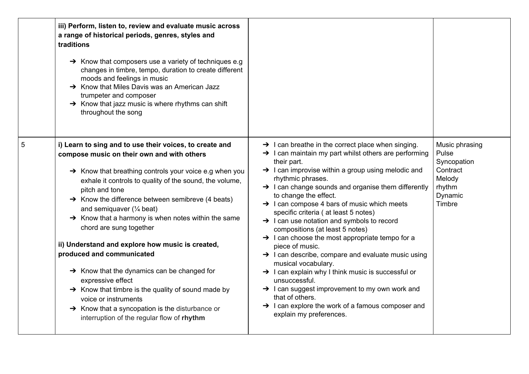|   | iii) Perform, listen to, review and evaluate music across<br>a range of historical periods, genres, styles and<br>traditions<br>$\rightarrow$ Know that composers use a variety of techniques e.g<br>changes in timbre, tempo, duration to create different<br>moods and feelings in music<br>$\rightarrow$ Know that Miles Davis was an American Jazz<br>trumpeter and composer<br>$\rightarrow$ Know that jazz music is where rhythms can shift<br>throughout the song                                                                                                                                                                                                                                                                                                                                                   |                                                                                                                                                                                                                                                                                                                                                                                                                                                                                                                                                                                                                                                                                                                                                                                                                                                                                                                                                          |                                                                                             |
|---|----------------------------------------------------------------------------------------------------------------------------------------------------------------------------------------------------------------------------------------------------------------------------------------------------------------------------------------------------------------------------------------------------------------------------------------------------------------------------------------------------------------------------------------------------------------------------------------------------------------------------------------------------------------------------------------------------------------------------------------------------------------------------------------------------------------------------|----------------------------------------------------------------------------------------------------------------------------------------------------------------------------------------------------------------------------------------------------------------------------------------------------------------------------------------------------------------------------------------------------------------------------------------------------------------------------------------------------------------------------------------------------------------------------------------------------------------------------------------------------------------------------------------------------------------------------------------------------------------------------------------------------------------------------------------------------------------------------------------------------------------------------------------------------------|---------------------------------------------------------------------------------------------|
| 5 | i) Learn to sing and to use their voices, to create and<br>compose music on their own and with others<br>> Know that breathing controls your voice e.g when you<br>exhale it controls to quality of the sound, the volume,<br>pitch and tone<br>$\rightarrow$ Know the difference between semibreve (4 beats)<br>and semiquaver $(\frac{1}{4}$ beat)<br>$\rightarrow$ Know that a harmony is when notes within the same<br>chord are sung together<br>ii) Understand and explore how music is created,<br>produced and communicated<br>$\rightarrow$ Know that the dynamics can be changed for<br>expressive effect<br>$\rightarrow$ Know that timbre is the quality of sound made by<br>voice or instruments<br>$\rightarrow$ Know that a syncopation is the disturbance or<br>interruption of the regular flow of rhythm | $\rightarrow$ I can breathe in the correct place when singing.<br>$\rightarrow$ I can maintain my part whilst others are performing<br>their part.<br>$\rightarrow$ I can improvise within a group using melodic and<br>rhythmic phrases.<br>$\rightarrow$ I can change sounds and organise them differently<br>to change the effect.<br>$\rightarrow$ I can compose 4 bars of music which meets<br>specific criteria (at least 5 notes)<br>$\rightarrow$ I can use notation and symbols to record<br>compositions (at least 5 notes)<br>$\rightarrow$ I can choose the most appropriate tempo for a<br>piece of music.<br>> I can describe, compare and evaluate music using<br>musical vocabulary.<br>$\rightarrow$ I can explain why I think music is successful or<br>unsuccessful.<br>> I can suggest improvement to my own work and<br>that of others.<br>$\rightarrow$ I can explore the work of a famous composer and<br>explain my preferences. | Music phrasing<br>Pulse<br>Syncopation<br>Contract<br>Melody<br>rhythm<br>Dynamic<br>Timbre |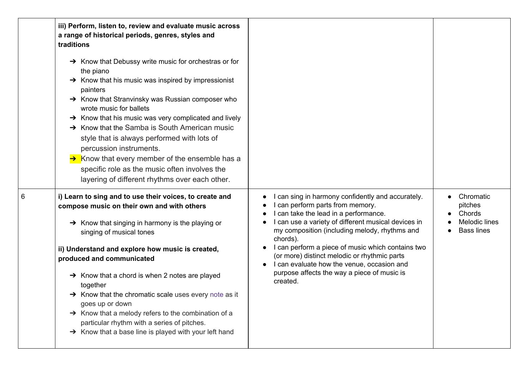|   | iii) Perform, listen to, review and evaluate music across<br>a range of historical periods, genres, styles and<br>traditions                                                                                                                                                                                                                                                                                                                                                                                                                                                                                                          |                                                                                                                                                                                                                                                                                                                                                                                                                                                                  |                                                                             |
|---|---------------------------------------------------------------------------------------------------------------------------------------------------------------------------------------------------------------------------------------------------------------------------------------------------------------------------------------------------------------------------------------------------------------------------------------------------------------------------------------------------------------------------------------------------------------------------------------------------------------------------------------|------------------------------------------------------------------------------------------------------------------------------------------------------------------------------------------------------------------------------------------------------------------------------------------------------------------------------------------------------------------------------------------------------------------------------------------------------------------|-----------------------------------------------------------------------------|
|   | $\rightarrow$ Know that Debussy write music for orchestras or for<br>the piano<br>$\rightarrow$ Know that his music was inspired by impressionist<br>painters<br>$\rightarrow$ Know that Stranvinsky was Russian composer who<br>wrote music for ballets<br>$\rightarrow$ Know that his music was very complicated and lively<br>$\rightarrow$ Know that the Samba is South American music<br>style that is always performed with lots of<br>percussion instruments.<br>$\rightarrow$ Know that every member of the ensemble has a<br>specific role as the music often involves the<br>layering of different rhythms over each other. |                                                                                                                                                                                                                                                                                                                                                                                                                                                                  |                                                                             |
| 6 | i) Learn to sing and to use their voices, to create and<br>compose music on their own and with others<br>$\rightarrow$ Know that singing in harmony is the playing or<br>singing of musical tones<br>ii) Understand and explore how music is created,<br>produced and communicated<br>$\rightarrow$ Know that a chord is when 2 notes are played<br>together<br>$\rightarrow$ Know that the chromatic scale uses every note as it<br>goes up or down<br>→ Know that a melody refers to the combination of a<br>particular rhythm with a series of pitches.<br>$\rightarrow$ Know that a base line is played with your left hand       | I can sing in harmony confidently and accurately.<br>I can perform parts from memory.<br>I can take the lead in a performance.<br>I can use a variety of different musical devices in<br>my composition (including melody, rhythms and<br>chords).<br>I can perform a piece of music which contains two<br>(or more) distinct melodic or rhythmic parts<br>I can evaluate how the venue, occasion and<br>purpose affects the way a piece of music is<br>created. | Chromatic<br>pitches<br>Chords<br><b>Melodic lines</b><br><b>Bass lines</b> |